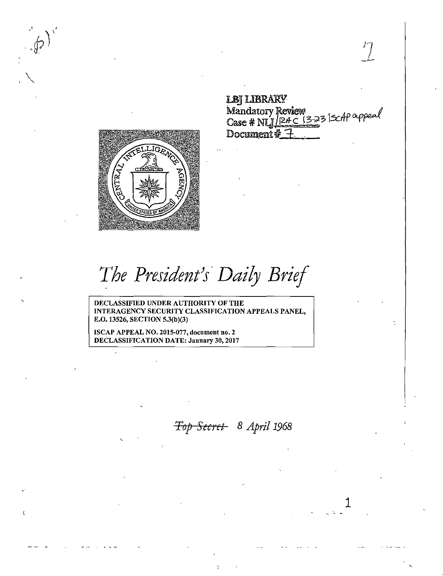**LBJ LIBRARY** Mandatory Review<br>Case # NLJ/24C (3-23 |ScAP oppeal Document # 7

1



 $\sqrt{3}$ 

*The President}s· Daily Brief* 

DECLASSIFIED UNDER AUTHORITY OF THE INTERAGENCY SECURITY CLASSIFICATION APPEALS PANEL, E.O. 13526, SECTION 5.3(b)(3)

ISCAP APPEAL NO. 2015-077, document no. 2 DECLASSIFICATION DATE: January 30, 2017

**Top Secret** 8 April 1968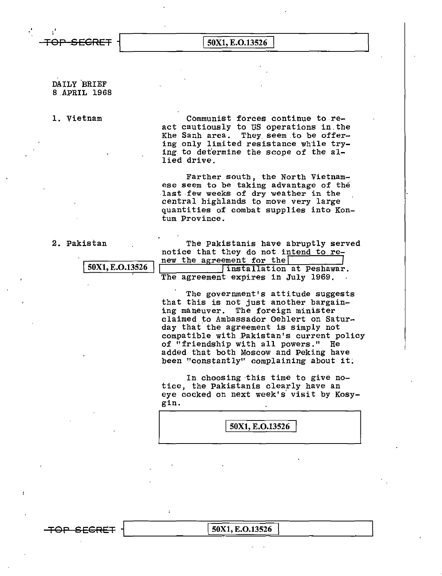,'

 $T$ 

## DAILY BRIEF B.APRIL 1968

l. Vietnam Communist forces continue to re act cautiously to US operations in.the Khe Sanh area. They seem to be offering only limited resistance while trying to determine the scope of the allied drive.

> Farther south, the North Vietnamese seem to be taking advantage of the last few weeks of dry weather in the central highlands to move very large quantities of combat supplies into Kontum Province.

2. Pakistan The Pakistanis have abruptly served notice that they do not intend to renew the agreement for the 50X1, E.O.13526 Finstallation at Peshawar. The agreement expires in July 1969.

> The government's attitude suggests that this is not just another bargaining maneuver. The foreign minister claimed to Ambassador Oehlert on Saturday that the agreement is simply not compatible with .Pakistan's current policy of "friendship with all powers." He added that both Moscow and Peking have been "constantly" complaining about it:

In choosing this time to give notice, the Pakistanis clearly have an eye cocked on next week's visit by Kosy gin.

50X1, E.O.13526

 $\overline{+}$ OP SECRET i $\vert$  50X1, E.O.13526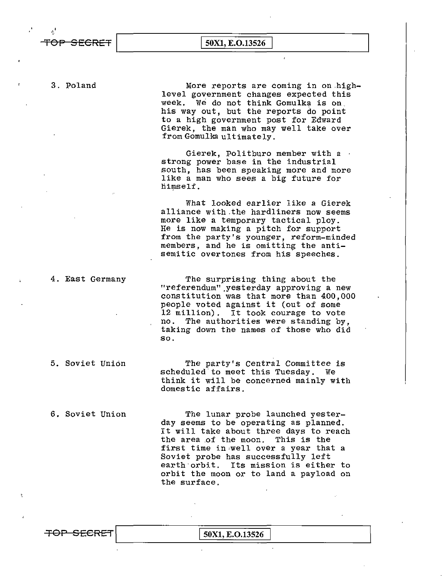$\begin{array}{|c|c|c|c|}\n\hline\n\text{TOP} & \text{SECRET} & \text{50X1, E.O.13526} & \text{50X1, E.O.13526} & \text{50X1, E.O.13526} & \text{50X1, E.O.13526} & \text{50X1, E.O.13526} & \text{50X1, E.O.13526} & \text{50X1, E.O.13526} & \text{50X1, E.O.13526} & \text{50X1, E.O.13526} & \text{50X1, E.O.13526} & \text{50X$ 

3. Poland More reports are coming in on.highlevel government changes expected this<br>week. We do not think Gomulka is on his way out, but the reports do point to a high government post for Edward Gierek, the man who may well take over from Gomulka ultimately.

> Gierek, Politburo member with a · strong power base in the industrial south, has been speaking more and more like a man who sees a big future for himself.

What looked earlier like a Gierek alliance with.the hardliners now seems more like a temporary tactical ploy. He is now making a pitch for support from the party's younger, reform-minded members, and he is omitting the antisemitic overtones from his speeches.

4. East Germany The surprising thing about the "referendum".yesterday approving a new constitution was that more than 400,000 people voted against it (out of some 12 million). It took courage to vote no. The authorities were standing by, taking down the names of those who did so.

5. Soviet Union The party's Central Committee is scheduled' to meet this Tuesday. We think it will be concerned mainly with domestic affairs.

6. Soviet Union The lunar probe launched yesterday seems to be operating as planned. It will take about three days to reach the area of the moon. This is the first time in well over a year that a Soviet probe has successfully left earth orbit. Its mission is either to orbit the moon or to land a payload on the surface.

TOP SECRET 50X1, E.O.13526